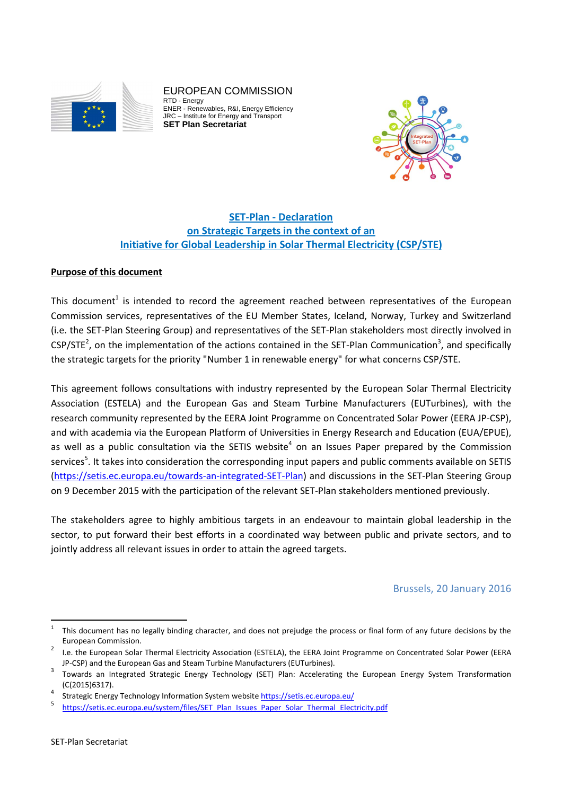

EUROPEAN COMMISSION RTD - Energy ENER - Renewables, R&I, Energy Efficiency JRC – Institute for Energy and Transport **SET Plan Secretariat** 



# **SET-Plan - Declaration on Strategic Targets in the context of an Initiative for Global Leadership in Solar Thermal Electricity (CSP/STE)**

## **Purpose of this document**

This document<sup>1</sup> is intended to record the agreement reached between representatives of the European Commission services, representatives of the EU Member States, Iceland, Norway, Turkey and Switzerland (i.e. the SET-Plan Steering Group) and representatives of the SET-Plan stakeholders most directly involved in  $CSP/STE<sup>2</sup>$ , on the implementation of the actions contained in the SET-Plan Communication<sup>3</sup>, and specifically the strategic targets for the priority "Number 1 in renewable energy" for what concerns CSP/STE.

This agreement follows consultations with industry represented by the European Solar Thermal Electricity Association (ESTELA) and the European Gas and Steam Turbine Manufacturers (EUTurbines), with the research community represented by the EERA Joint Programme on Concentrated Solar Power (EERA JP-CSP), and with academia via the European Platform of Universities in Energy Research and Education (EUA/EPUE), as well as a public consultation via the SETIS website<sup>4</sup> on an Issues Paper prepared by the Commission services<sup>5</sup>. It takes into consideration the corresponding input papers and public comments available on SETIS (https://setis.ec.europa.eu/towards-an-integrated-SET-Plan) and discussions in the SET-Plan Steering Group on 9 December 2015 with the participation of the relevant SET-Plan stakeholders mentioned previously.

The stakeholders agree to highly ambitious targets in an endeavour to maintain global leadership in the sector, to put forward their best efforts in a coordinated way between public and private sectors, and to jointly address all relevant issues in order to attain the agreed targets.

## Brussels, 20 January 2016

 $\frac{1}{1}$  This document has no legally binding character, and does not prejudge the process or final form of any future decisions by the European Commission.

I.e. the European Solar Thermal Electricity Association (ESTELA), the EERA Joint Programme on Concentrated Solar Power (EERA JP-CSP) and the European Gas and Steam Turbine Manufacturers (EUTurbines). 3

Towards an Integrated Strategic Energy Technology (SET) Plan: Accelerating the European Energy System Transformation (C(2015)6317). 4

Strategic Energy Technology Information System website https://setis.ec.europa.eu/

<sup>5</sup> https://setis.ec.europa.eu/system/files/SET\_Plan\_Issues\_Paper\_Solar\_Thermal\_Electricity.pdf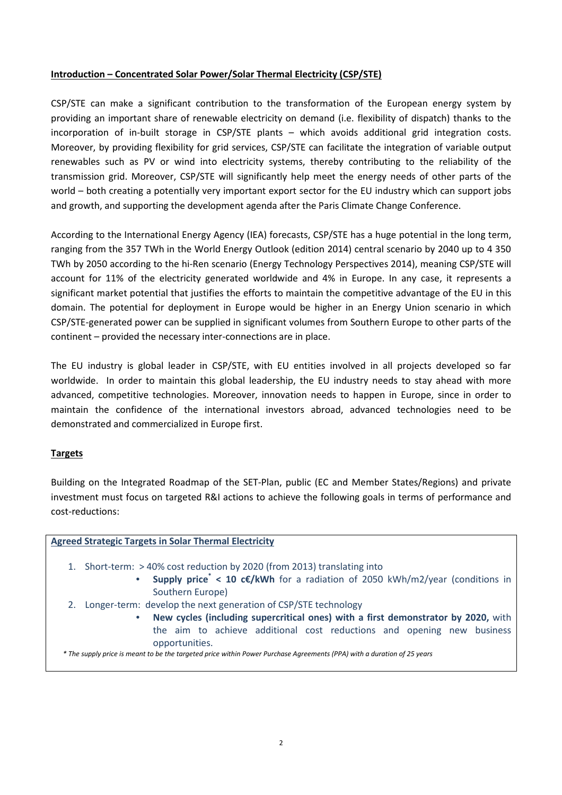### **Introduction – Concentrated Solar Power/Solar Thermal Electricity (CSP/STE)**

CSP/STE can make a significant contribution to the transformation of the European energy system by providing an important share of renewable electricity on demand (i.e. flexibility of dispatch) thanks to the incorporation of in-built storage in CSP/STE plants – which avoids additional grid integration costs. Moreover, by providing flexibility for grid services, CSP/STE can facilitate the integration of variable output renewables such as PV or wind into electricity systems, thereby contributing to the reliability of the transmission grid. Moreover, CSP/STE will significantly help meet the energy needs of other parts of the world – both creating a potentially very important export sector for the EU industry which can support jobs and growth, and supporting the development agenda after the Paris Climate Change Conference.

According to the International Energy Agency (IEA) forecasts, CSP/STE has a huge potential in the long term, ranging from the 357 TWh in the World Energy Outlook (edition 2014) central scenario by 2040 up to 4 350 TWh by 2050 according to the hi-Ren scenario (Energy Technology Perspectives 2014), meaning CSP/STE will account for 11% of the electricity generated worldwide and 4% in Europe. In any case, it represents a significant market potential that justifies the efforts to maintain the competitive advantage of the EU in this domain. The potential for deployment in Europe would be higher in an Energy Union scenario in which CSP/STE-generated power can be supplied in significant volumes from Southern Europe to other parts of the continent – provided the necessary inter-connections are in place.

The EU industry is global leader in CSP/STE, with EU entities involved in all projects developed so far worldwide. In order to maintain this global leadership, the EU industry needs to stay ahead with more advanced, competitive technologies. Moreover, innovation needs to happen in Europe, since in order to maintain the confidence of the international investors abroad, advanced technologies need to be demonstrated and commercialized in Europe first.

## **Targets**

Building on the Integrated Roadmap of the SET-Plan, public (EC and Member States/Regions) and private investment must focus on targeted R&I actions to achieve the following goals in terms of performance and cost-reductions:

#### **Agreed Strategic Targets in Solar Thermal Electricity**

- 1. Short-term: > 40% cost reduction by 2020 (from 2013) translating into
	- **Supply price\* < 10 c€/kWh** for a radiation of 2050 kWh/m2/year (conditions in Southern Europe)
- 2. Longer-term: develop the next generation of CSP/STE technology
	- **New cycles (including supercritical ones) with a first demonstrator by 2020,** with the aim to achieve additional cost reductions and opening new business opportunities.

 *\* The supply price is meant to be the targeted price within Power Purchase Agreements (PPA) with a duration of 25 years*